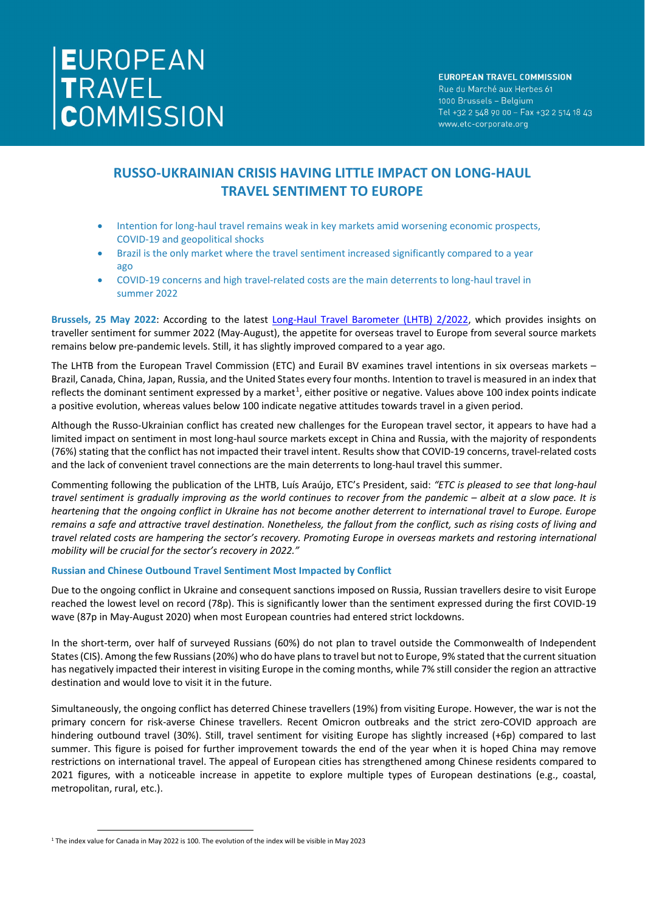# **RUSSO-UKRAINIAN CRISIS HAVING LITTLE IMPACT ON LONG-HAUL TRAVEL SENTIMENT TO EUROPE**

- Intention for long-haul travel remains weak in key markets amid worsening economic prospects, COVID-19 and geopolitical shocks
- Brazil is the only market where the travel sentiment increased significantly compared to a year ago
- COVID-19 concerns and high travel-related costs are the main deterrents to long-haul travel in summer 2022

**Brussels, 25 May 2022**: According to the latest [Long-Haul Travel Barometer \(LHTB\) 2/2022,](https://etc-corporate.org/reports/long-haul-travel-barometer-2-2022/) which provides insights on traveller sentiment for summer 2022 (May-August), the appetite for overseas travel to Europe from several source markets remains below pre-pandemic levels. Still, it has slightly improved compared to a year ago.

The LHTB from the European Travel Commission (ETC) and Eurail BV examines travel intentions in six overseas markets – Brazil, Canada, China, Japan, Russia, and the United States every four months. Intention to travel is measured in an index that reflects the dominant sentiment expressed by a market<sup>[1](#page-0-0)</sup>, either positive or negative. Values above 100 index points indicate a positive evolution, whereas values below 100 indicate negative attitudes towards travel in a given period.

Although the Russo-Ukrainian conflict has created new challenges for the European travel sector, it appears to have had a limited impact on sentiment in most long-haul source markets except in China and Russia, with the majority of respondents (76%) stating that the conflict has not impacted their travel intent. Results show that COVID-19 concerns, travel-related costs and the lack of convenient travel connections are the main deterrents to long-haul travel this summer.

Commenting following the publication of the LHTB, Luís Araújo, ETC's President, said: *"ETC is pleased to see that long-haul travel sentiment is gradually improving as the world continues to recover from the pandemic – albeit at a slow pace. It is heartening that the ongoing conflict in Ukraine has not become another deterrent to international travel to Europe. Europe remains a safe and attractive travel destination. Nonetheless, the fallout from the conflict, such as rising costs of living and travel related costs are hampering the sector's recovery. Promoting Europe in overseas markets and restoring international mobility will be crucial for the sector's recovery in 2022."*

## **Russian and Chinese Outbound Travel Sentiment Most Impacted by Conflict**

Due to the ongoing conflict in Ukraine and consequent sanctions imposed on Russia, Russian travellers desire to visit Europe reached the lowest level on record (78p). This is significantly lower than the sentiment expressed during the first COVID-19 wave (87p in May-August 2020) when most European countries had entered strict lockdowns.

In the short-term, over half of surveyed Russians (60%) do not plan to travel outside the Commonwealth of Independent States (CIS). Among the few Russians (20%) who do have plans to travel but not to Europe, 9% stated that the current situation has negatively impacted their interest in visiting Europe in the coming months, while 7% still consider the region an attractive destination and would love to visit it in the future.

Simultaneously, the ongoing conflict has deterred Chinese travellers (19%) from visiting Europe. However, the war is not the primary concern for risk-averse Chinese travellers. Recent Omicron outbreaks and the strict zero-COVID approach are hindering outbound travel (30%). Still, travel sentiment for visiting Europe has slightly increased (+6p) compared to last summer. This figure is poised for further improvement towards the end of the year when it is hoped China may remove restrictions on international travel. The appeal of European cities has strengthened among Chinese residents compared to 2021 figures, with a noticeable increase in appetite to explore multiple types of European destinations (e.g., coastal, metropolitan, rural, etc.).

<span id="page-0-0"></span><sup>1</sup> The index value for Canada in May 2022 is 100. The evolution of the index will be visible in May 2023